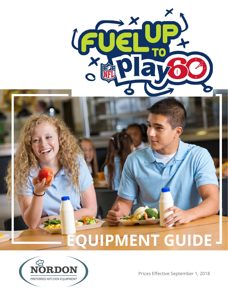

## **EQUIPMENT GUIDE**



Prices Effective September 1, 2018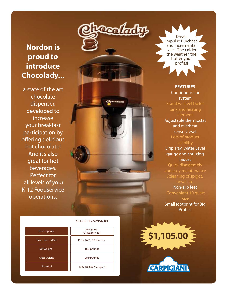### **Nordon is proud to introduce Chocolady...**

a state of the art chocolate dispenser, developed to increase your breakfast participation by offering delicious hot chocolate! And it's also great for hot beverages. Perfect for all levels of your K-12 Foodservice operations.

SL8LD10116 Chocolady 10.6

| <b>Bowl capacity</b> |  |
|----------------------|--|
| Dimensions LxDxH     |  |
| Net weight           |  |
| <b>Gross weight</b>  |  |
| Electrical           |  |

| 10.6 quarts<br>42-8oz servings |
|--------------------------------|
| 11.3 x 16.2 x 22.9 inches      |
| 18.7 pounds                    |
| 20.9 pounds                    |
| 120V 1000W, 9 Amps, CE         |
|                                |

Drives Impulse Purchase and incremental sales! The colder the weather, the hotter your profits!

**Localnity** 

acalady

**FEATURES** Continuous stir system Stainless steel boiler tank and heating element Adjustable thermostat and overheat sensor/reset Lots of product visibility Drip Tray, Water Level gauge and anti-clog faucet Quick disassembly and easy maintenance /cleaning of spigot, bowl, etc. Non-slip feet Convenient 10 quart size Small footprint for Big Profits!

**\$1,105.00**

**CARPIGIANI**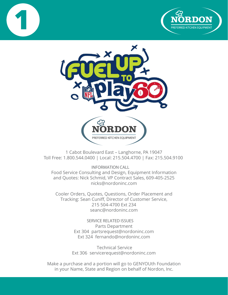





1 Cabot Boulevard East – Langhorne, PA 19047 Toll Free: 1.800.544.0400 | Local: 215.504.4700 | Fax: 215.504.9100

**INFORMATION CALL** Food Service Consulting and Design, Equipment Information and Quotes: Nick Schmid, VP Contract Sales, 609-405-2525 nicks@nordoninc.com

Cooler Orders, Quotes, Questions, Order Placement and Tracking: Sean Cuniff, Director of Customer Service, 215 504-4700 Ext 234 seanc@nordoninc.com

> **SERVICE RELATED ISSUES** Parts Department Ext 304 partsrequest@nordoninc.com Ext 324 fernando@nordoninc.com

 Technical Service Ext 306 servicerequest@nordoninc.com

Make a purchase and a portion will go to GENYOUth Foundation in your Name, State and Region on behalf of Nordon, Inc.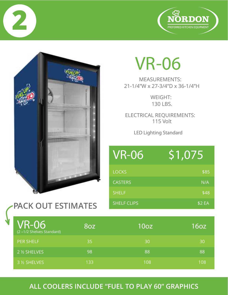



**2**

## **VR-06**

MEASUREMENTS: 21-1/4"W x 27-3/4"D x 36-1/4"H

> WEIGHT: 130 LBS.

ELECTRICAL REQUIREMENTS: 115 Volt

**LED Lighting Standard** 

| <b>VR-06</b>       | 51,075 |
|--------------------|--------|
| <b>LOCKS</b>       | \$85   |
| <b>CASTERS</b>     | N/A    |
| <b>SHELF</b>       | \$48   |
| <b>SHELF CLIPS</b> | \$2EA  |

| <b>VR-06</b><br>(2-1/2 Shelves Standard) | 8oz | 10 <sub>oz</sub> | 16 <sub>oz</sub> |
|------------------------------------------|-----|------------------|------------------|
| <b>PER SHELF</b>                         | 35  | 30               | 30               |
| 2 1/2 SHELVES                            | 98  | /88              | '88              |
| 3 % SHELVES                              | 133 | 108              | 108              |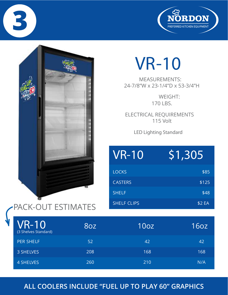



**3**

# **VR-10**

MEASUREMENTS: 24-7/8"W x 23-1/4"D x 53-3/4"H

> WEIGHT: 170 LBS.

ELECTRICAL REQUIREMENTS 115 Volt

**LED Lighting Standard** 

| <b>VR-10</b>       | \$1,305 |
|--------------------|---------|
| <b>LOCKS</b>       | \$85    |
| <b>CASTERS</b>     | \$125   |
| <b>SHELF</b>       | \$48    |
| <b>SHELF CLIPS</b> | \$2 EA  |

| <b>VR-10</b><br>(3 Shelves Standard) | 8oz | 10 <sub>oz</sub> | 160z |
|--------------------------------------|-----|------------------|------|
| <b>PER SHELF</b>                     | 52  | 42               | 42   |
| 3 SHELVES                            | 208 | 168              | 168' |
| 4 SHELVES                            | 260 | 210              | N/A  |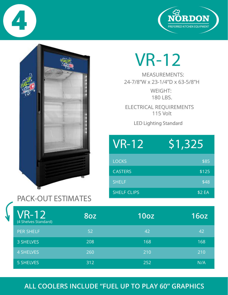





# **VR-12**

24-7/8"W x 23-1/4"D x 63-5/8"H MEASUREMENTS:

> WEIGHT: 180 LBS.

ELECTRICAL REQUIREMENTS 115 Volt

**LED Lighting Standard**

| <b>VR-12</b>       | \$1,325 |
|--------------------|---------|
| <b>LOCKS</b>       | \$85    |
| <b>CASTERS</b>     | \$125   |
| <b>SHELF</b>       | \$48    |
| <b>SHELF CLIPS</b> | \$2 EA  |

### **PACK-OUT ESTIMATES**

| <b>VR-12</b><br>(4 Shelves Standard) | <b>80Z</b> | 10 <sub>oz</sub> | <b>16oz</b> |
|--------------------------------------|------------|------------------|-------------|
| <b>PER SHELF</b>                     | 52         | 42               | 42          |
| 3 SHELVES                            | 208        | 168              | 168         |
| <b>4 SHELVES</b>                     | 260        | 210              | 210         |
| 5 SHELVES                            | 312        | 252              | N/A         |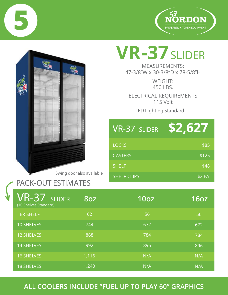





# **VR-37SLIDER**

47-3/8"W x 30-3/8"D x 78-5/8"H MEASUREMENTS:

> 450 LBS. WEIGHT:

ELECTRICAL REQUIREMENTS 115 Volt

**LED Lighting Standard** 

| VR-37 SLIDER       | \$2,627 |
|--------------------|---------|
| <b>LOCKS</b>       | \$85    |
| <b>CASTERS</b>     | \$125   |
| <b>SHELF</b>       | \$48    |
| <b>SHELF CLIPS</b> | \$2 EA  |

| <b>VR-37 SLIDER</b><br>(10 Shelves Standard) | <b>80Z</b> | 10 <sub>oz</sub> | 16 <sub>oz</sub> |
|----------------------------------------------|------------|------------------|------------------|
| <b>ER SHELF</b>                              | 62         | 56               | 56               |
| <b>10 SHELVES</b>                            | 744        | 672              | 672              |
| <b>12 SHELVES</b>                            | 868        | 784              | 784              |
| <b>14 SHELVES</b>                            | 992        | 896              | 896              |
| <b>16 SHELVES</b>                            | 1,116      | N/A              | N/A              |
| <b>18 SHELVES</b>                            | 1,240      | N/A              | N/A              |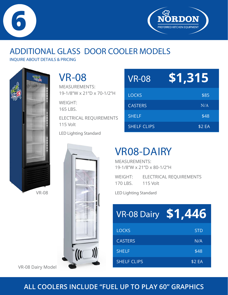



## **ADDITIONAL GLASS DOOR COOLER MODELS**

**INQUIRE ABOUT DETAILS & PRICING**



**VR-08**

19-1/8"W x 21"D x 70-1/2"H MEASUREMENTS: WEIGHT:

165 LBS.

115 Volt ELECTRICAL REQUIREMENTS

**LED Lighting Standard**



| <b>VR-08</b>       | \$1,315 |
|--------------------|---------|
| <b>LOCKS</b>       | \$85    |
| <b>CASTERS</b>     | N/A     |
| <b>SHELF</b>       | \$48    |
| <b>SHELF CLIPS</b> | \$2 EA  |

## **VR08-DAIRY**

19-1/8"W x 21"D x 80-1/2"H MEASUREMENTS:

170 LBS. WEIGHT: ELECTRICAL REQUIREMENTS 115 Volt

**LED Lighting Standard** 

| <b>VR-08 Dairy \$1,446</b> |            |
|----------------------------|------------|
| <b>LOCKS</b>               | <b>STD</b> |
| <b>CASTERS</b>             | N/A        |
| <b>SHELF</b>               | \$48       |
| <b>SHELF CLIPS</b>         | \$2 EA     |

VR-08 Dairy Model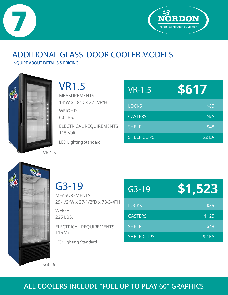



## **ADDITIONAL GLASS DOOR COOLER MODELS**

**INQUIRE ABOUT DETAILS & PRICING**



| <b>VR1.5</b>                                   |
|------------------------------------------------|
| <b>MEASUREMENTS:</b><br>14"W x 18"D x 27-7/8"H |
| WEIGHT:<br>60 LBS.                             |
| ELECTRICAL REQUIREMENTS<br><b>115 Volt</b>     |
| <b>LED Lighting Standard</b>                   |

| $VR-1.5$           | \$617  |  |
|--------------------|--------|--|
| <b>LOCKS</b>       | \$85   |  |
| <b>CASTERS</b>     | N/A    |  |
| <b>SHELF</b>       | \$48   |  |
| <b>SHELF CLIPS</b> | \$2 EA |  |



**G3-19** 29-1/2"W x 27-1/2"D x 78-3/4"H MEASUREMENTS:

225 LBS. WEIGHT:

115 Volt ELECTRICAL REQUIREMENTS

**LED Lighting Standard** 

| $G3 - 19$          | \$1,523 |
|--------------------|---------|
| <b>LOCKS</b>       | \$85    |
| <b>CASTERS</b>     | \$125   |
| <b>SHELF</b>       | \$48    |
| <b>SHELF CLIPS</b> | \$2 EA  |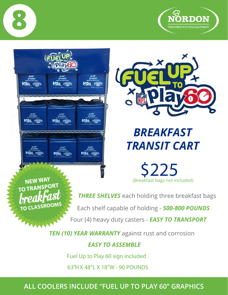







## *BREAKFAST TRANSIT CART*

**\$225**

(Breakfast bags not included)

**NEW WAY** breakfast SSROOMS

**THREE SHELVES** each holding three breakfast bags

Each shelf capable of holding - *500-800 POUNDS*

Four (4) heavy duty casters - *EASY TO TRANSPORT*

**TEN (10) YEAR WARRANTY** against rust and corrosion

#### *EASY TO ASSEMBLE*

**Fuel Up to Play 60 sign included** 

**63"H X 48"L X 18"W - 90 POUNDS**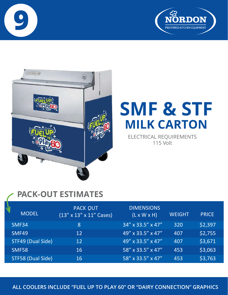





## **SMF & STF MILK CARTON**

ELECTRICAL REQUIREMENTS 115 Volt

## **PACK-OUT ESTIMATES**

| <b>MODEL</b>      | <b>PACK OUT</b><br>$(13'' \times 13'' \times 11''$ Cases) | <b>DIMENSIONS</b><br>$(L \times W \times H)$ | <b>WEIGHT</b> | <b>PRICE</b> |
|-------------------|-----------------------------------------------------------|----------------------------------------------|---------------|--------------|
| SMF34             | 8                                                         | 34" x 33.5" x 47"                            | 320           | \$2,397      |
| SMF49             | 12                                                        | 49" x 33.5" x 47"                            | 407           | \$2,755      |
| STF49 (Dual Side) | 12                                                        | 49" x 33.5" x 47"                            | 407           | \$3,671      |
| <b>SMF58</b>      | 16                                                        | $58''$ x 33.5" x 47"                         | 453           | \$3,063      |
| STF58 (Dual Side) | 16                                                        | 58" x 33.5" x 47"                            | 453           | \$3,763      |